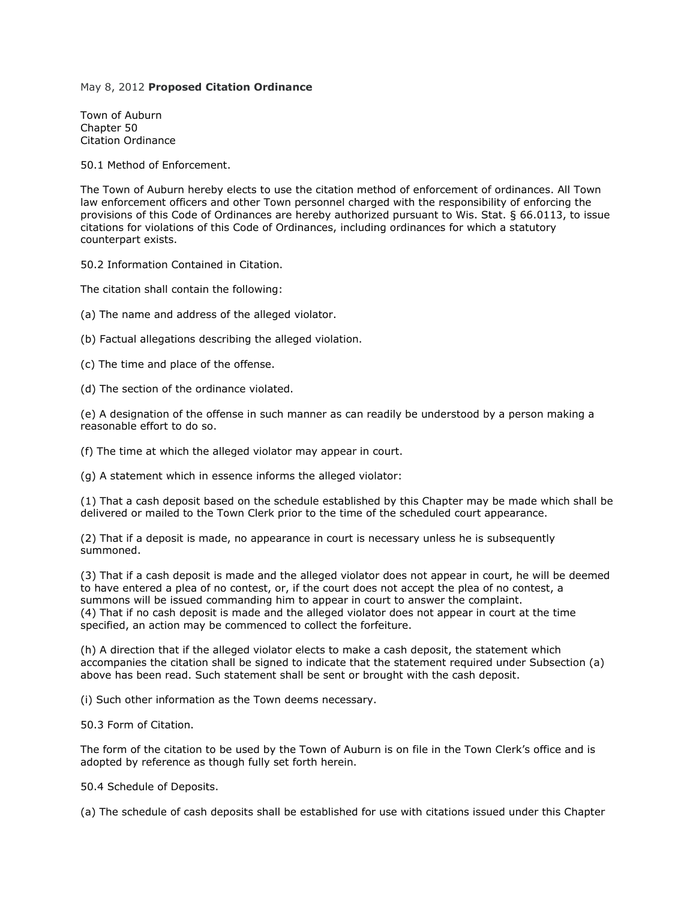## May 8, 2012 **Proposed Citation Ordinance**

Town of Auburn Chapter 50 Citation Ordinance

50.1 Method of Enforcement.

The Town of Auburn hereby elects to use the citation method of enforcement of ordinances. All Town law enforcement officers and other Town personnel charged with the responsibility of enforcing the provisions of this Code of Ordinances are hereby authorized pursuant to Wis. Stat. § 66.0113, to issue citations for violations of this Code of Ordinances, including ordinances for which a statutory counterpart exists.

50.2 Information Contained in Citation.

The citation shall contain the following:

(a) The name and address of the alleged violator.

(b) Factual allegations describing the alleged violation.

(c) The time and place of the offense.

(d) The section of the ordinance violated.

(e) A designation of the offense in such manner as can readily be understood by a person making a reasonable effort to do so.

(f) The time at which the alleged violator may appear in court.

(g) A statement which in essence informs the alleged violator:

(1) That a cash deposit based on the schedule established by this Chapter may be made which shall be delivered or mailed to the Town Clerk prior to the time of the scheduled court appearance.

(2) That if a deposit is made, no appearance in court is necessary unless he is subsequently summoned.

(3) That if a cash deposit is made and the alleged violator does not appear in court, he will be deemed to have entered a plea of no contest, or, if the court does not accept the plea of no contest, a summons will be issued commanding him to appear in court to answer the complaint. (4) That if no cash deposit is made and the alleged violator does not appear in court at the time specified, an action may be commenced to collect the forfeiture.

(h) A direction that if the alleged violator elects to make a cash deposit, the statement which accompanies the citation shall be signed to indicate that the statement required under Subsection (a) above has been read. Such statement shall be sent or brought with the cash deposit.

(i) Such other information as the Town deems necessary.

50.3 Form of Citation.

The form of the citation to be used by the Town of Auburn is on file in the Town Clerk's office and is adopted by reference as though fully set forth herein.

50.4 Schedule of Deposits.

(a) The schedule of cash deposits shall be established for use with citations issued under this Chapter